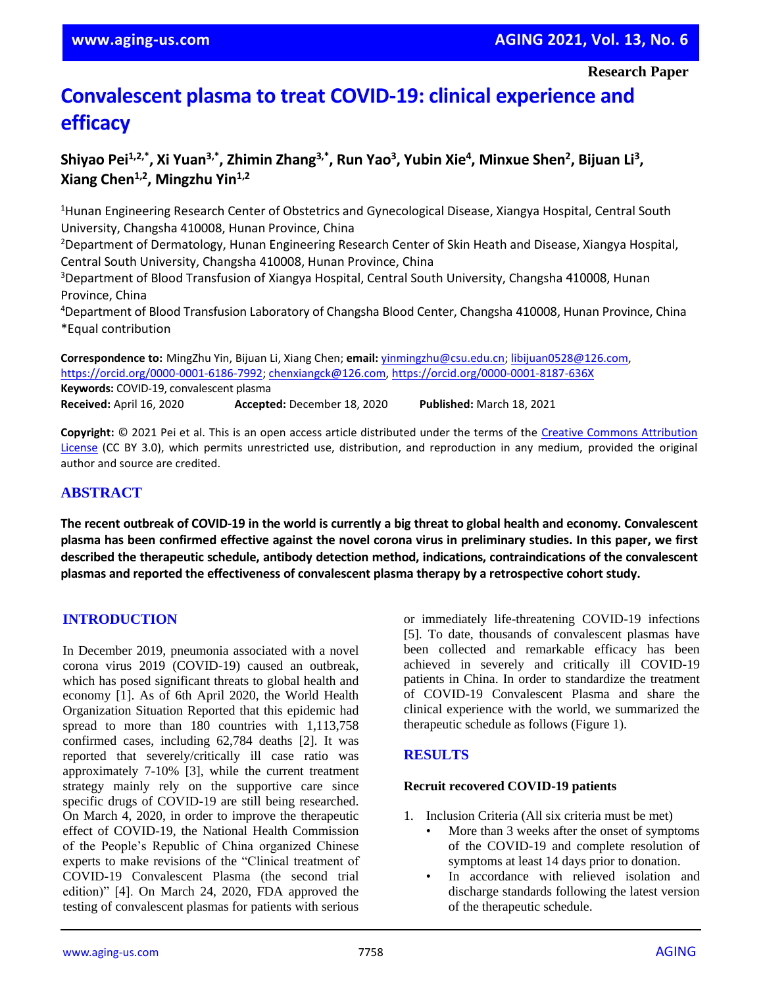# **Convalescent plasma to treat COVID-19: clinical experience and efficacy**

# **Shiyao Pei1,2,\* , Xi Yuan3,\* , Zhimin Zhang3,\* , Run Yao<sup>3</sup> , Yubin Xie<sup>4</sup> , Minxue Shen<sup>2</sup> , Bijuan Li<sup>3</sup> , Xiang Chen1,2, Mingzhu Yin1,2**

<sup>1</sup>Hunan Engineering Research Center of Obstetrics and Gynecological Disease, Xiangya Hospital, Central South University, Changsha 410008, Hunan Province, China

<sup>2</sup>Department of Dermatology, Hunan Engineering Research Center of Skin Heath and Disease, Xiangya Hospital, Central South University, Changsha 410008, Hunan Province, China

<sup>3</sup>Department of Blood Transfusion of Xiangya Hospital, Central South University, Changsha 410008, Hunan Province, China

<sup>4</sup>Department of Blood Transfusion Laboratory of Changsha Blood Center, Changsha 410008, Hunan Province, China \*Equal contribution

**Correspondence to:** MingZhu Yin, Bijuan Li, Xiang Chen; **email:** [yinmingzhu@csu.edu.cn;](mailto:yinmingzhu@csu.edu.cn) [libijuan0528@126.com,](mailto:libijuan0528@126.com)  [https://orcid.org/0000-0001-6186-7992;](https://orcid.org/0000-0001-6186-7992) [chenxiangck@126.com,](mailto:chenxiangck@126.com)<https://orcid.org/0000-0001-8187-636X> **Keywords:** COVID-19, convalescent plasma **Received:** April 16, 2020 **Accepted:** December 18, 2020 **Published:** March 18, 2021

**Copyright:** © 2021 Pei et al. This is an open access article distributed under the terms of the [Creative Commons Attribution](https://creativecommons.org/licenses/by/3.0/)  [License](https://creativecommons.org/licenses/by/3.0/) (CC BY 3.0), which permits unrestricted use, distribution, and reproduction in any medium, provided the original author and source are credited.

# **ABSTRACT**

The recent outbreak of COVID-19 in the world is currently a big threat to global health and economy. Convalescent plasma has been confirmed effective against the novel corona virus in preliminary studies. In this paper, we first **described the therapeutic schedule, antibody detection method, indications, contraindications of the convalescent plasmas and reported the effectiveness of convalescent plasma therapy by a retrospective cohort study.**

# **INTRODUCTION**

In December 2019, pneumonia associated with a novel corona virus 2019 (COVID-19) caused an outbreak, which has posed significant threats to global health and economy [1]. As of 6th April 2020, the World Health Organization Situation Reported that this epidemic had spread to more than 180 countries with 1,113,758 confirmed cases, including 62,784 deaths [2]. It was reported that severely/critically ill case ratio was approximately 7-10% [3], while the current treatment strategy mainly rely on the supportive care since specific drugs of COVID-19 are still being researched. On March 4, 2020, in order to improve the therapeutic effect of COVID-19, the National Health Commission of the People's Republic of China organized Chinese experts to make revisions of the "Clinical treatment of COVID-19 Convalescent Plasma (the second trial edition)" [4]. On March 24, 2020, FDA approved the testing of convalescent plasmas for patients with serious

or immediately life-threatening COVID-19 infections [5]. To date, thousands of convalescent plasmas have been collected and remarkable efficacy has been achieved in severely and critically ill COVID-19 patients in China. In order to standardize the treatment of COVID-19 Convalescent Plasma and share the clinical experience with the world, we summarized the therapeutic schedule as follows (Figure 1).

# **RESULTS**

### **Recruit recovered COVID-19 patients**

- 1. Inclusion Criteria (All six criteria must be met)
	- More than 3 weeks after the onset of symptoms of the COVID-19 and complete resolution of symptoms at least 14 days prior to donation.
		- In accordance with relieved isolation and discharge standards following the latest version of the therapeutic schedule.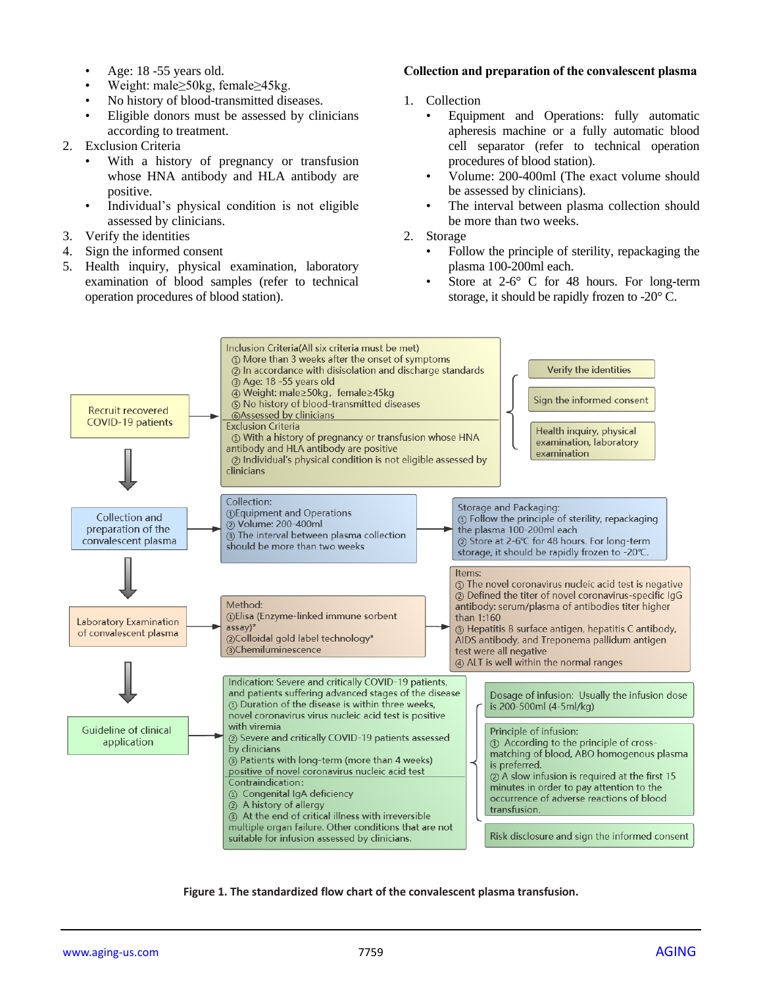- Age: 18 -55 years old.
- Weight: male≥50kg, female≥45kg.
- No history of blood-transmitted diseases.
- Eligible donors must be assessed by clinicians according to treatment.
- 2. Exclusion Criteria
	- With a history of pregnancy or transfusion whose HNA antibody and HLA antibody are positive.
	- Individual's physical condition is not eligible assessed by clinicians.
- 3. Verify the identities
- 4. Sign the informed consent
- 5. Health inquiry, physical examination, laboratory examination of blood samples (refer to technical operation procedures of blood station).

### **Collection and preparation of the convalescent plasma**

- 1. Collection
	- Equipment and Operations: fully automatic apheresis machine or a fully automatic blood cell separator (refer to technical operation procedures of blood station).
	- Volume: 200-400ml (The exact volume should be assessed by clinicians).
	- The interval between plasma collection should be more than two weeks.
- 2. Storage
	- Follow the principle of sterility, repackaging the plasma 100-200ml each.
	- Store at 2-6° C for 48 hours. For long-term storage, it should be rapidly frozen to -20° C.



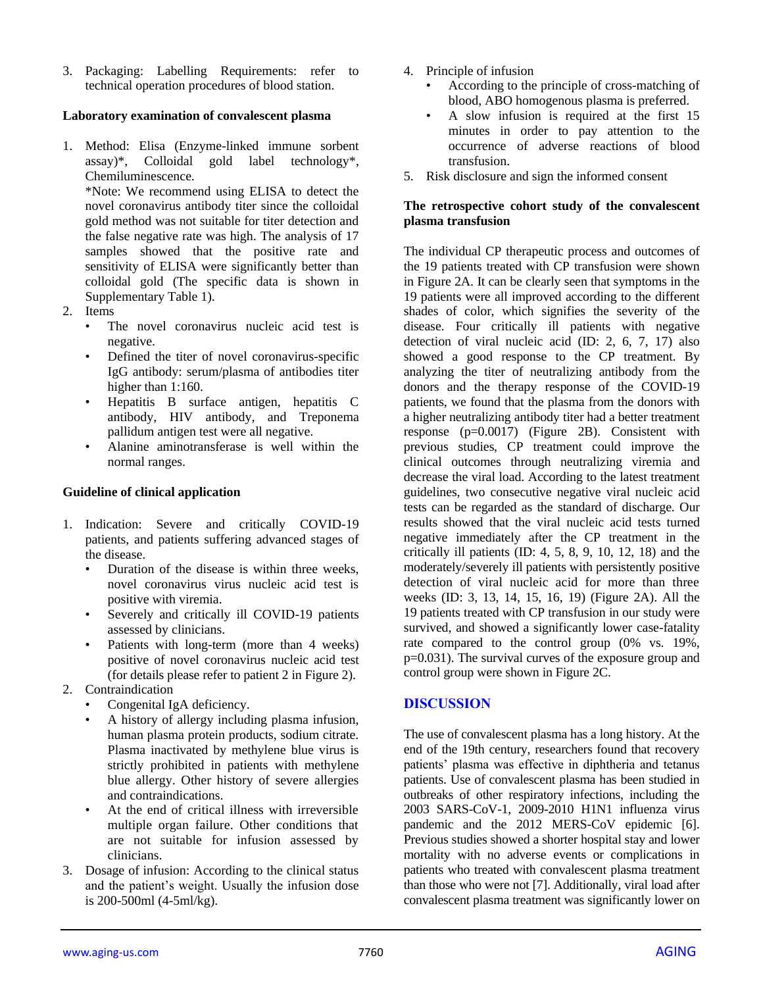3. Packaging: Labelling Requirements: refer to technical operation procedures of blood station.

## **Laboratory examination of convalescent plasma**

1. Method: Elisa (Enzyme-linked immune sorbent assay)\*, Colloidal gold label technology\*, Chemiluminescence.

\*Note: We recommend using ELISA to detect the novel coronavirus antibody titer since the colloidal gold method was not suitable for titer detection and the false negative rate was high. The analysis of 17 samples showed that the positive rate and sensitivity of ELISA were significantly better than colloidal gold (The specific data is shown in Supplementary Table 1).

- 2. Items
	- The novel coronavirus nucleic acid test is negative.
	- Defined the titer of novel coronavirus-specific IgG antibody: serum/plasma of antibodies titer higher than 1:160.
	- Hepatitis B surface antigen, hepatitis C antibody, HIV antibody, and Treponema pallidum antigen test were all negative.
	- Alanine aminotransferase is well within the normal ranges.

### **Guideline of clinical application**

- 1. Indication: Severe and critically COVID-19 patients, and patients suffering advanced stages of the disease.
	- Duration of the disease is within three weeks, novel coronavirus virus nucleic acid test is positive with viremia.
	- Severely and critically ill COVID-19 patients assessed by clinicians.
	- Patients with long-term (more than 4 weeks) positive of novel coronavirus nucleic acid test (for details please refer to patient 2 in Figure 2).
- 2. Contraindication
	- Congenital IgA deficiency.
	- A history of allergy including plasma infusion, human plasma protein products, sodium citrate. Plasma inactivated by methylene blue virus is strictly prohibited in patients with methylene blue allergy. Other history of severe allergies and contraindications.
	- At the end of critical illness with irreversible multiple organ failure. Other conditions that are not suitable for infusion assessed by clinicians.
- 3. Dosage of infusion: According to the clinical status and the patient's weight. Usually the infusion dose is 200-500ml (4-5ml/kg).
- 4. Principle of infusion
	- According to the principle of cross-matching of blood, ABO homogenous plasma is preferred.
	- A slow infusion is required at the first 15 minutes in order to pay attention to the occurrence of adverse reactions of blood transfusion.
- 5. Risk disclosure and sign the informed consent

## **The retrospective cohort study of the convalescent plasma transfusion**

The individual CP therapeutic process and outcomes of the 19 patients treated with CP transfusion were shown in Figure 2A. It can be clearly seen that symptoms in the 19 patients were all improved according to the different shades of color, which signifies the severity of the disease. Four critically ill patients with negative detection of viral nucleic acid (ID: 2, 6, 7, 17) also showed a good response to the CP treatment. By analyzing the titer of neutralizing antibody from the donors and the therapy response of the COVID-19 patients, we found that the plasma from the donors with a higher neutralizing antibody titer had a better treatment response (p=0.0017) (Figure 2B). Consistent with previous studies, CP treatment could improve the clinical outcomes through neutralizing viremia and decrease the viral load. According to the latest treatment guidelines, two consecutive negative viral nucleic acid tests can be regarded as the standard of discharge. Our results showed that the viral nucleic acid tests turned negative immediately after the CP treatment in the critically ill patients  $(ID: 4, 5, 8, 9, 10, 12, 18)$  and the moderately/severely ill patients with persistently positive detection of viral nucleic acid for more than three weeks (ID: 3, 13, 14, 15, 16, 19) (Figure 2A). All the 19 patients treated with CP transfusion in our study were survived, and showed a significantly lower case-fatality rate compared to the control group (0% vs. 19%, p=0.031). The survival curves of the exposure group and control group were shown in Figure 2C.

## **DISCUSSION**

The use of convalescent plasma has a long history. At the end of the 19th century, researchers found that recovery patients' plasma was effective in diphtheria and tetanus patients. Use of convalescent plasma has been studied in outbreaks of other respiratory infections, including the 2003 SARS-CoV-1, 2009-2010 H1N1 influenza virus pandemic and the 2012 MERS-CoV epidemic [6]. Previous studies showed a shorter hospital stay and lower mortality with no adverse events or complications in patients who treated with convalescent plasma treatment than those who were not [7]. Additionally, viral load after convalescent plasma treatment was significantly lower on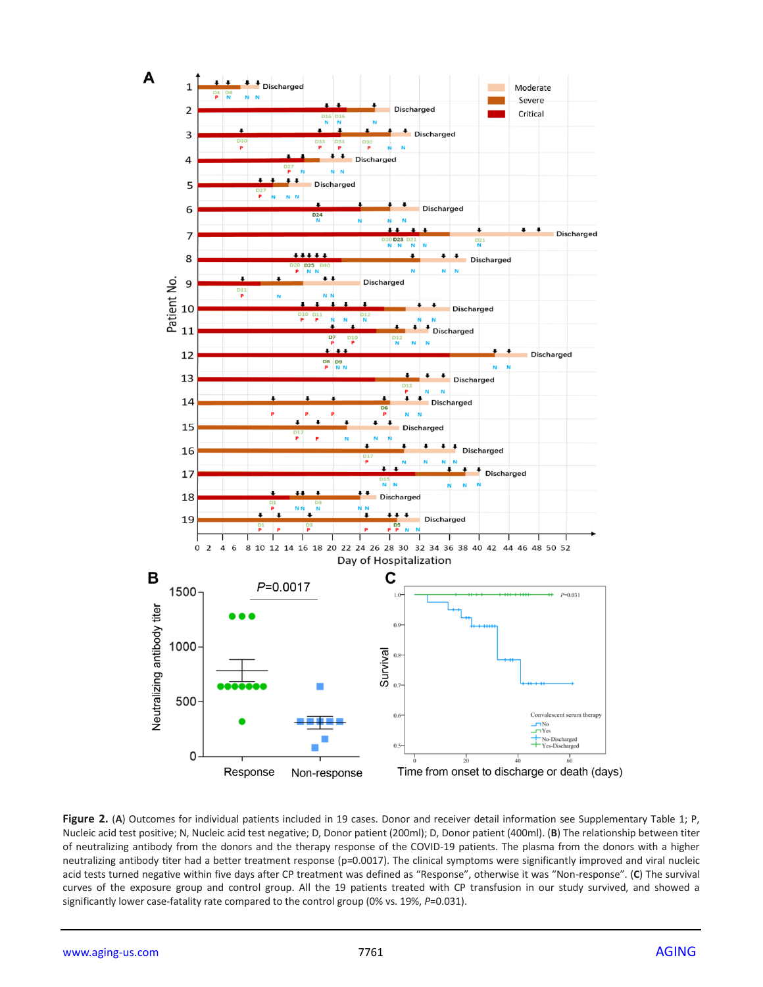

**Figure 2.** (**A**) Outcomes for individual patients included in 19 cases. Donor and receiver detail information see Supplementary Table 1; P, Nucleic acid test positive; N, Nucleic acid test negative; D, Donor patient (200ml); D, Donor patient (400ml). (**B**) The relationship between titer of neutralizing antibody from the donors and the therapy response of the COVID-19 patients. The plasma from the donors with a higher neutralizing antibody titer had a better treatment response (p=0.0017). The clinical symptoms were significantly improved and viral nucleic acid tests turned negative within five days after CP treatment was defined as "Response", otherwise it was "Non-response". (**C**) The survival curves of the exposure group and control group. All the 19 patients treated with CP transfusion in our study survived, and showed a significantly lower case-fatality rate compared to the control group (0% vs. 19%, *P*=0.031).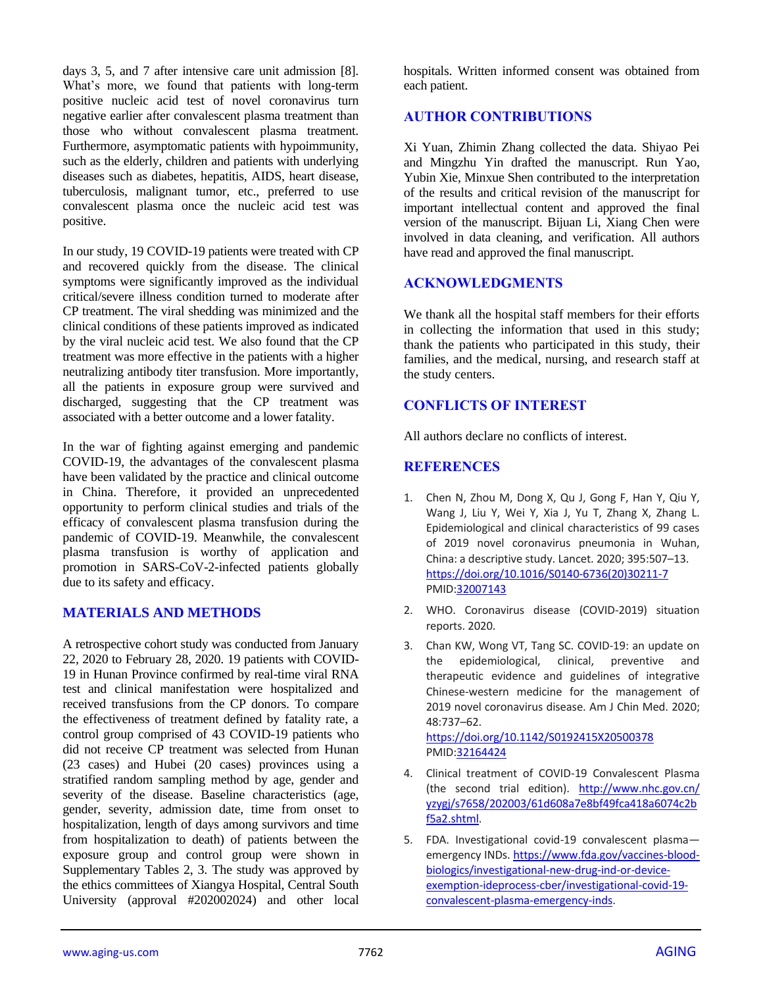days 3, 5, and 7 after intensive care unit admission [8]. What's more, we found that patients with long-term positive nucleic acid test of novel coronavirus turn negative earlier after convalescent plasma treatment than those who without convalescent plasma treatment. Furthermore, asymptomatic patients with hypoimmunity, such as the elderly, children and patients with underlying diseases such as diabetes, hepatitis, AIDS, heart disease, tuberculosis, malignant tumor, etc., preferred to use convalescent plasma once the nucleic acid test was positive.

In our study, 19 COVID-19 patients were treated with CP and recovered quickly from the disease. The clinical symptoms were significantly improved as the individual critical/severe illness condition turned to moderate after CP treatment. The viral shedding was minimized and the clinical conditions of these patients improved as indicated by the viral nucleic acid test. We also found that the CP treatment was more effective in the patients with a higher neutralizing antibody titer transfusion. More importantly, all the patients in exposure group were survived and discharged, suggesting that the CP treatment was associated with a better outcome and a lower fatality.

In the war of fighting against emerging and pandemic COVID-19, the advantages of the convalescent plasma have been validated by the practice and clinical outcome in China. Therefore, it provided an unprecedented opportunity to perform clinical studies and trials of the efficacy of convalescent plasma transfusion during the pandemic of COVID-19. Meanwhile, the convalescent plasma transfusion is worthy of application and promotion in SARS-CoV-2-infected patients globally due to its safety and efficacy.

# **MATERIALS AND METHODS**

A retrospective cohort study was conducted from January 22, 2020 to February 28, 2020. 19 patients with COVID-19 in Hunan Province confirmed by real-time viral RNA test and clinical manifestation were hospitalized and received transfusions from the CP donors. To compare the effectiveness of treatment defined by fatality rate, a control group comprised of 43 COVID-19 patients who did not receive CP treatment was selected from Hunan (23 cases) and Hubei (20 cases) provinces using a stratified random sampling method by age, gender and severity of the disease. Baseline characteristics (age, gender, severity, admission date, time from onset to hospitalization, length of days among survivors and time from hospitalization to death) of patients between the exposure group and control group were shown in Supplementary Tables 2, 3. The study was approved by the ethics committees of Xiangya Hospital, Central South University (approval #202002024) and other local

hospitals. Written informed consent was obtained from each patient.

# **AUTHOR CONTRIBUTIONS**

Xi Yuan, Zhimin Zhang collected the data. Shiyao Pei and Mingzhu Yin drafted the manuscript. Run Yao, Yubin Xie, Minxue Shen contributed to the interpretation of the results and critical revision of the manuscript for important intellectual content and approved the final version of the manuscript. Bijuan Li, Xiang Chen were involved in data cleaning, and verification. All authors have read and approved the final manuscript.

# **ACKNOWLEDGMENTS**

We thank all the hospital staff members for their efforts in collecting the information that used in this study; thank the patients who participated in this study, their families, and the medical, nursing, and research staff at the study centers.

# **CONFLICTS OF INTEREST**

All authors declare no conflicts of interest.

# **REFERENCES**

- 1. Chen N, Zhou M, Dong X, Qu J, Gong F, Han Y, Qiu Y, Wang J, Liu Y, Wei Y, Xia J, Yu T, Zhang X, Zhang L. Epidemiological and clinical characteristics of 99 cases of 2019 novel coronavirus pneumonia in Wuhan, China: a descriptive study. Lancet. 2020; 395:507–13. [https://doi.org/10.1016/S0140-6736\(20\)30211-7](https://doi.org/10.1016/S0140-6736(20)30211-7) PMI[D:32007143](https://pubmed.ncbi.nlm.nih.gov/32007143)
- 2. WHO. Coronavirus disease (COVID-2019) situation reports. 2020.
- 3. Chan KW, Wong VT, Tang SC. COVID-19: an update on the epidemiological, clinical, preventive and therapeutic evidence and guidelines of integrative Chinese-western medicine for the management of 2019 novel coronavirus disease. Am J Chin Med. 2020; 48:737–62.

<https://doi.org/10.1142/S0192415X20500378> PMI[D:32164424](https://pubmed.ncbi.nlm.nih.gov/32164424)

- 4. Clinical treatment of COVID-19 Convalescent Plasma (the second trial edition). [http://www.nhc.gov.cn/](http://www.nhc.gov.cn/yzygj/s7658/202003/61d608a7e8bf49fca418a6074c2bf5a2.shtml) [yzygj/s7658/202003/61d608a7e8bf49fca418a6074c2b](http://www.nhc.gov.cn/yzygj/s7658/202003/61d608a7e8bf49fca418a6074c2bf5a2.shtml) [f5a2.shtml.](http://www.nhc.gov.cn/yzygj/s7658/202003/61d608a7e8bf49fca418a6074c2bf5a2.shtml)
- 5. FDA. Investigational covid-19 convalescent plasma emergency INDs. [https://www.fda.gov/vaccines-blood](https://www.fda.gov/vaccines-blood-biologics/investigational-new-drug-ind-or-device-exemption-ideprocess-cber/investigational-covid-19-convalescent-plasma-emergency-inds)[biologics/investigational-new-drug-ind-or-device](https://www.fda.gov/vaccines-blood-biologics/investigational-new-drug-ind-or-device-exemption-ideprocess-cber/investigational-covid-19-convalescent-plasma-emergency-inds)[exemption-ideprocess-cber/investigational-covid-19](https://www.fda.gov/vaccines-blood-biologics/investigational-new-drug-ind-or-device-exemption-ideprocess-cber/investigational-covid-19-convalescent-plasma-emergency-inds) [convalescent-plasma-emergency-inds.](https://www.fda.gov/vaccines-blood-biologics/investigational-new-drug-ind-or-device-exemption-ideprocess-cber/investigational-covid-19-convalescent-plasma-emergency-inds)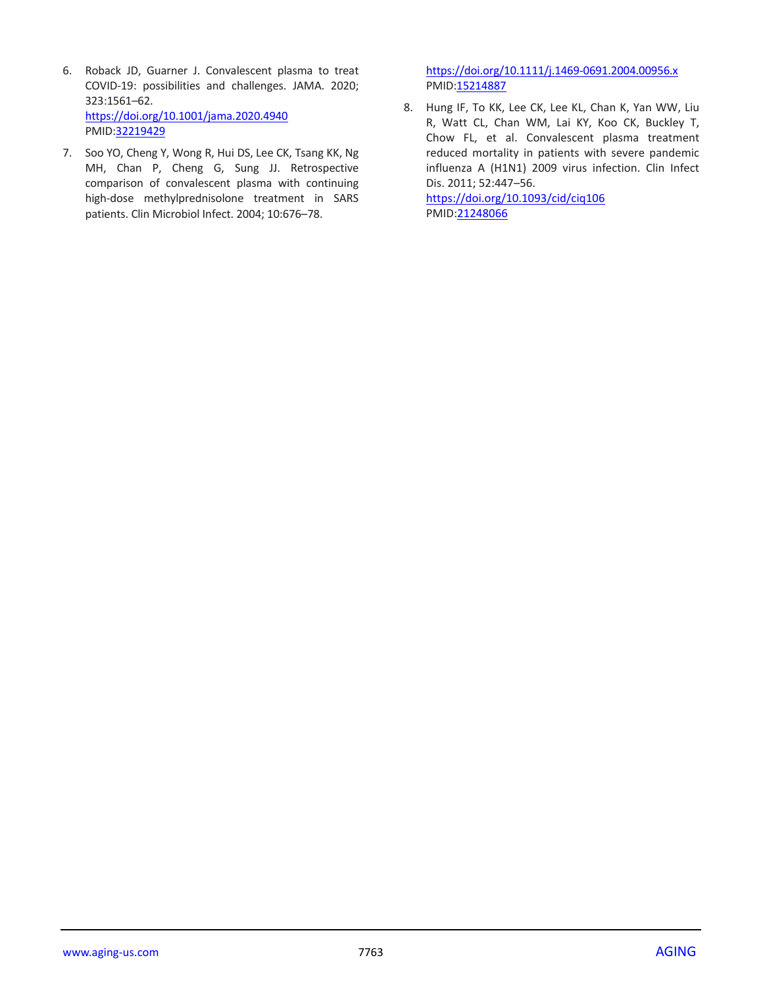- 6. Roback JD, Guarner J. Convalescent plasma to treat COVID-19: possibilities and challenges. JAMA. 2020; 323:1561–62. <https://doi.org/10.1001/jama.2020.4940> PMID[:32219429](https://pubmed.ncbi.nlm.nih.gov/32219429)
- 7. Soo YO, Cheng Y, Wong R, Hui DS, Lee CK, Tsang KK, Ng MH, Chan P, Cheng G, Sung JJ. Retrospective comparison of convalescent plasma with continuing high-dose methylprednisolone treatment in SARS patients. Clin Microbiol Infect. 2004; 10:676–78.

<https://doi.org/10.1111/j.1469-0691.2004.00956.x> PMID: 15214887

8. Hung IF, To KK, Lee CK, Lee KL, Chan K, Yan WW, Liu R, Watt CL, Chan WM, Lai KY, Koo CK, Buckley T, Chow FL, et al. Convalescent plasma treatment reduced mortality in patients with severe pandemic influenza A (H1N1) 2009 virus infection. Clin Infect Dis. 2011; 52:447–56.

<https://doi.org/10.1093/cid/ciq106> PMID[:21248066](https://pubmed.ncbi.nlm.nih.gov/21248066)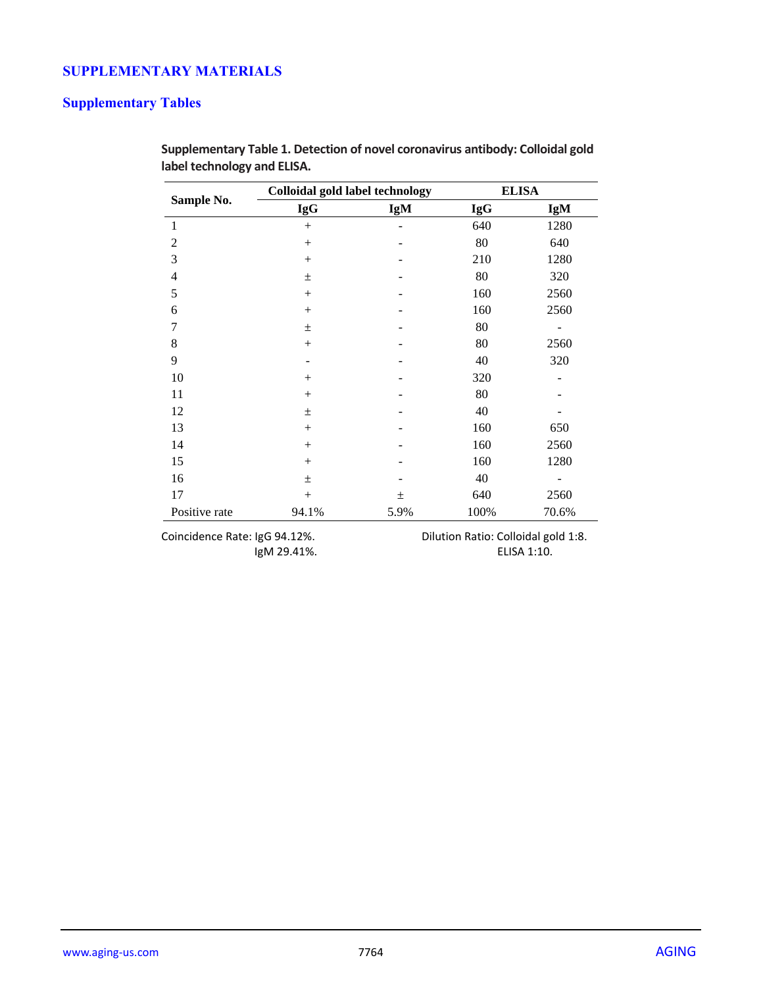# **SUPPLEMENTARY MATERIALS**

# **Supplementary Tables**

|               | <b>Colloidal gold label technology</b> |       | <b>ELISA</b> |       |  |
|---------------|----------------------------------------|-------|--------------|-------|--|
| Sample No.    | <b>IgG</b>                             | IgM   | <b>IgG</b>   | IgM   |  |
| 1             | $+$                                    |       | 640          | 1280  |  |
| 2             | $^{+}$                                 |       | 80           | 640   |  |
| 3             | $^{+}$                                 |       | 210          | 1280  |  |
| 4             | $\pm$                                  |       | 80           | 320   |  |
| 5             | $+$                                    |       | 160          | 2560  |  |
| 6             | $+$                                    |       | 160          | 2560  |  |
| 7             | $\pm$                                  |       | 80           |       |  |
| 8             | $^{+}$                                 |       | 80           | 2560  |  |
| 9             |                                        |       | 40           | 320   |  |
| 10            | $^{+}$                                 |       | 320          |       |  |
| 11            | $+$                                    |       | 80           |       |  |
| 12            | $\pm$                                  |       | 40           |       |  |
| 13            | $^{+}$                                 |       | 160          | 650   |  |
| 14            | $^{+}$                                 |       | 160          | 2560  |  |
| 15            | $^{+}$                                 |       | 160          | 1280  |  |
| 16            | 土                                      |       | 40           |       |  |
| 17            | $+$                                    | $\pm$ | 640          | 2560  |  |
| Positive rate | 94.1%                                  | 5.9%  | 100%         | 70.6% |  |

**Supplementary Table 1. Detection of novel coronavirus antibody: Colloidal gold label technology and ELISA.**

IgM 29.41%.

Coincidence Rate: IgG 94.12%.<br>IgM 29.41%. Dilution Ratio: Colloidal gold 1:8.<br>ELISA 1:10.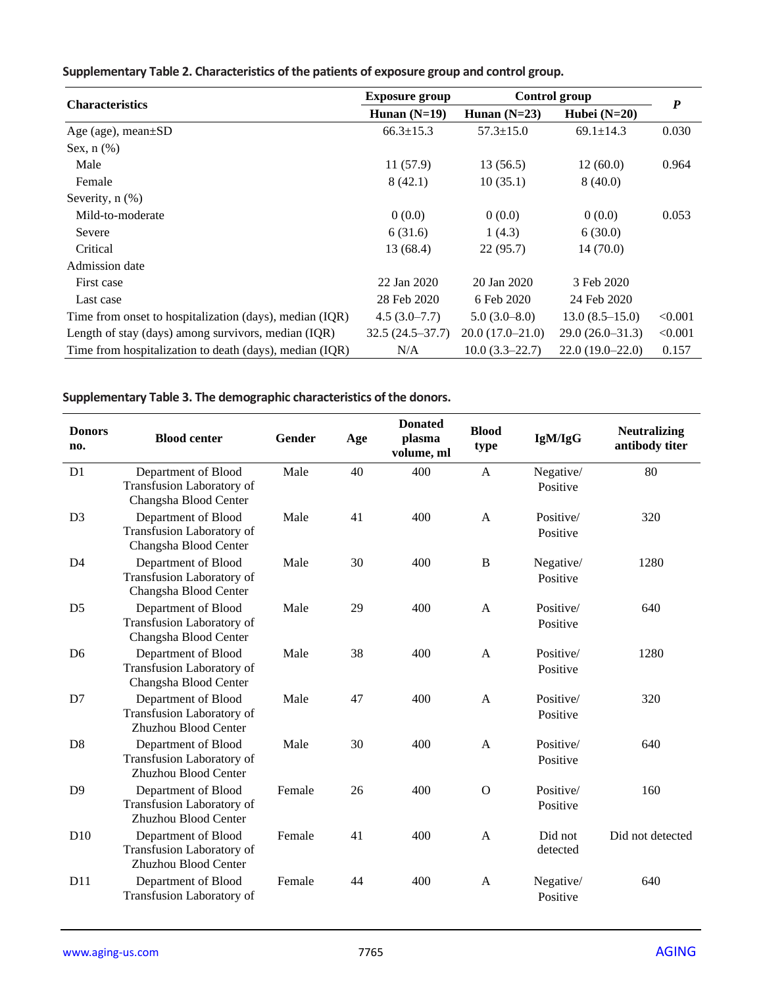|                                                         | <b>Exposure group</b> |                   | Control group     |                  |
|---------------------------------------------------------|-----------------------|-------------------|-------------------|------------------|
| <b>Characteristics</b>                                  | Hunan $(N=19)$        | Hunan $(N=23)$    | Hubei $(N=20)$    | $\boldsymbol{P}$ |
| Age (age), mean $\pm SD$                                | $66.3 \pm 15.3$       | $57.3 \pm 15.0$   | $69.1 \pm 14.3$   | 0.030            |
| Sex, $n$ $(\%)$                                         |                       |                   |                   |                  |
| Male                                                    | 11(57.9)              | 13 (56.5)         | 12(60.0)          | 0.964            |
| Female                                                  | 8(42.1)               | 10(35.1)          | 8(40.0)           |                  |
| Severity, n (%)                                         |                       |                   |                   |                  |
| Mild-to-moderate                                        | 0(0.0)                | 0(0.0)            | 0(0.0)            | 0.053            |
| Severe                                                  | 6(31.6)               | 1(4.3)            | 6(30.0)           |                  |
| Critical                                                | 13 (68.4)             | 22(95.7)          | 14(70.0)          |                  |
| Admission date                                          |                       |                   |                   |                  |
| First case                                              | 22 Jan 2020           | 20 Jan 2020       | 3 Feb 2020        |                  |
| Last case                                               | 28 Feb 2020           | 6 Feb 2020        | 24 Feb 2020       |                  |
| Time from onset to hospitalization (days), median (IQR) | $4.5(3.0-7.7)$        | $5.0(3.0-8.0)$    | $13.0(8.5-15.0)$  | < 0.001          |
| Length of stay (days) among survivors, median (IQR)     | $32.5(24.5-37.7)$     | $20.0(17.0-21.0)$ | $29.0(26.0-31.3)$ | < 0.001          |
| Time from hospitalization to death (days), median (IQR) | N/A                   | $10.0(3.3-22.7)$  | $22.0(19.0-22.0)$ | 0.157            |

# **Supplementary Table 2. Characteristics of the patients of exposure group and control group.**

# **Supplementary Table 3. The demographic characteristics of the donors.**

| <b>Donors</b><br>no. | <b>Blood center</b>                                                       | Gender | Age | <b>Donated</b><br>plasma<br>volume, ml | <b>Blood</b><br>type | IgM/IgG               | <b>Neutralizing</b><br>antibody titer |
|----------------------|---------------------------------------------------------------------------|--------|-----|----------------------------------------|----------------------|-----------------------|---------------------------------------|
| D1                   | Department of Blood<br>Transfusion Laboratory of<br>Changsha Blood Center | Male   | 40  | 400                                    | $\mathbf{A}$         | Negative/<br>Positive | 80                                    |
| D <sub>3</sub>       | Department of Blood<br>Transfusion Laboratory of<br>Changsha Blood Center | Male   | 41  | 400                                    | $\mathbf{A}$         | Positive/<br>Positive | 320                                   |
| D <sub>4</sub>       | Department of Blood<br>Transfusion Laboratory of<br>Changsha Blood Center | Male   | 30  | 400                                    | $\, {\bf B}$         | Negative/<br>Positive | 1280                                  |
| D <sub>5</sub>       | Department of Blood<br>Transfusion Laboratory of<br>Changsha Blood Center | Male   | 29  | 400                                    | $\mathbf{A}$         | Positive/<br>Positive | 640                                   |
| D <sub>6</sub>       | Department of Blood<br>Transfusion Laboratory of<br>Changsha Blood Center | Male   | 38  | 400                                    | $\mathbf{A}$         | Positive/<br>Positive | 1280                                  |
| D7                   | Department of Blood<br>Transfusion Laboratory of<br>Zhuzhou Blood Center  | Male   | 47  | 400                                    | $\mathbf{A}$         | Positive/<br>Positive | 320                                   |
| D <sub>8</sub>       | Department of Blood<br>Transfusion Laboratory of<br>Zhuzhou Blood Center  | Male   | 30  | 400                                    | $\mathbf{A}$         | Positive/<br>Positive | 640                                   |
| D <sub>9</sub>       | Department of Blood<br>Transfusion Laboratory of<br>Zhuzhou Blood Center  | Female | 26  | 400                                    | $\mathbf{O}$         | Positive/<br>Positive | 160                                   |
| D10                  | Department of Blood<br>Transfusion Laboratory of<br>Zhuzhou Blood Center  | Female | 41  | 400                                    | $\mathbf{A}$         | Did not<br>detected   | Did not detected                      |
| D11                  | Department of Blood<br>Transfusion Laboratory of                          | Female | 44  | 400                                    | A                    | Negative/<br>Positive | 640                                   |